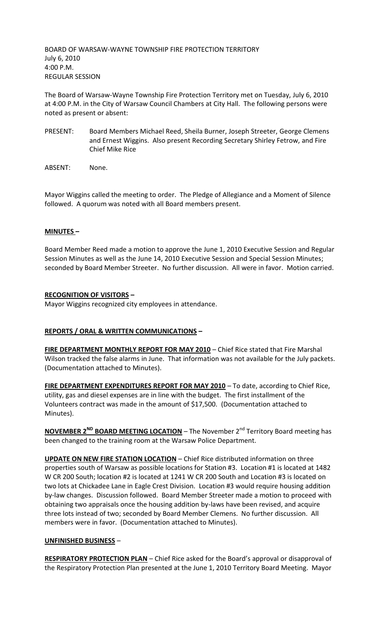BOARD OF WARSAW-WAYNE TOWNSHIP FIRE PROTECTION TERRITORY July 6, 2010 4:00 P.M. REGULAR SESSION

The Board of Warsaw-Wayne Township Fire Protection Territory met on Tuesday, July 6, 2010 at 4:00 P.M. in the City of Warsaw Council Chambers at City Hall. The following persons were noted as present or absent:

- PRESENT: Board Members Michael Reed, Sheila Burner, Joseph Streeter, George Clemens and Ernest Wiggins. Also present Recording Secretary Shirley Fetrow, and Fire Chief Mike Rice
- ABSENT: None.

Mayor Wiggins called the meeting to order. The Pledge of Allegiance and a Moment of Silence followed. A quorum was noted with all Board members present.

## **MINUTES –**

Board Member Reed made a motion to approve the June 1, 2010 Executive Session and Regular Session Minutes as well as the June 14, 2010 Executive Session and Special Session Minutes; seconded by Board Member Streeter. No further discussion. All were in favor. Motion carried.

### **RECOGNITION OF VISITORS –**

Mayor Wiggins recognized city employees in attendance.

## **REPORTS / ORAL & WRITTEN COMMUNICATIONS –**

**FIRE DEPARTMENT MONTHLY REPORT FOR MAY 2010** – Chief Rice stated that Fire Marshal Wilson tracked the false alarms in June. That information was not available for the July packets. (Documentation attached to Minutes).

**FIRE DEPARTMENT EXPENDITURES REPORT FOR MAY 2010** – To date, according to Chief Rice, utility, gas and diesel expenses are in line with the budget. The first installment of the Volunteers contract was made in the amount of \$17,500. (Documentation attached to Minutes).

**NOVEMBER 2<sup>ND</sup> BOARD MEETING LOCATION** – The November 2<sup>nd</sup> Territory Board meeting has been changed to the training room at the Warsaw Police Department.

**UPDATE ON NEW FIRE STATION LOCATION** – Chief Rice distributed information on three properties south of Warsaw as possible locations for Station #3. Location #1 is located at 1482 W CR 200 South; location #2 is located at 1241 W CR 200 South and Location #3 is located on two lots at Chickadee Lane in Eagle Crest Division. Location #3 would require housing addition by-law changes. Discussion followed. Board Member Streeter made a motion to proceed with obtaining two appraisals once the housing addition by-laws have been revised, and acquire three lots instead of two; seconded by Board Member Clemens. No further discussion. All members were in favor. (Documentation attached to Minutes).

#### **UNFINISHED BUSINESS** –

**RESPIRATORY PROTECTION PLAN** – Chief Rice asked for the Board's approval or disapproval of the Respiratory Protection Plan presented at the June 1, 2010 Territory Board Meeting. Mayor